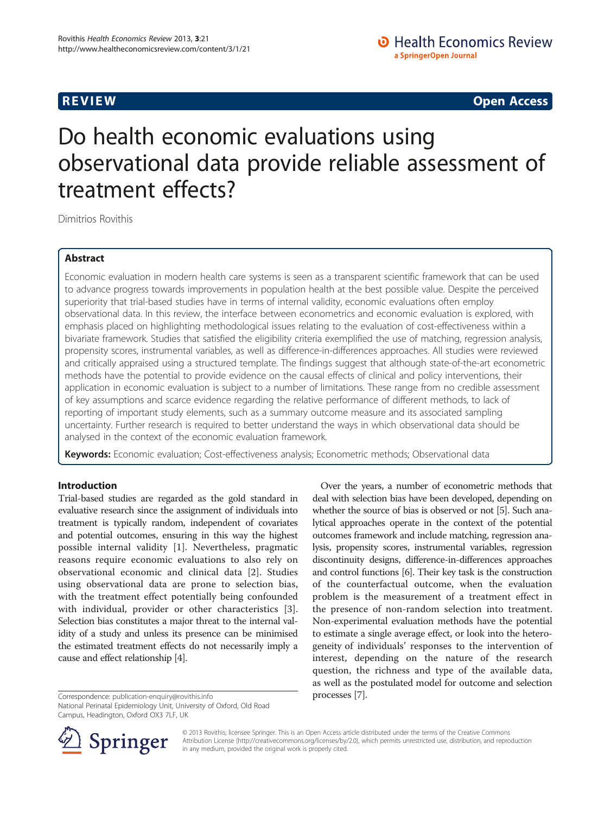**REVIEW CONSTRUCTION CONSTRUCTION CONSTRUCTS** 

# Do health economic evaluations using observational data provide reliable assessment of treatment effects?

Dimitrios Rovithis

# Abstract

Economic evaluation in modern health care systems is seen as a transparent scientific framework that can be used to advance progress towards improvements in population health at the best possible value. Despite the perceived superiority that trial-based studies have in terms of internal validity, economic evaluations often employ observational data. In this review, the interface between econometrics and economic evaluation is explored, with emphasis placed on highlighting methodological issues relating to the evaluation of cost-effectiveness within a bivariate framework. Studies that satisfied the eligibility criteria exemplified the use of matching, regression analysis, propensity scores, instrumental variables, as well as difference-in-differences approaches. All studies were reviewed and critically appraised using a structured template. The findings suggest that although state-of-the-art econometric methods have the potential to provide evidence on the causal effects of clinical and policy interventions, their application in economic evaluation is subject to a number of limitations. These range from no credible assessment of key assumptions and scarce evidence regarding the relative performance of different methods, to lack of reporting of important study elements, such as a summary outcome measure and its associated sampling uncertainty. Further research is required to better understand the ways in which observational data should be analysed in the context of the economic evaluation framework.

Keywords: Economic evaluation; Cost-effectiveness analysis; Econometric methods; Observational data

# Introduction

Trial-based studies are regarded as the gold standard in evaluative research since the assignment of individuals into treatment is typically random, independent of covariates and potential outcomes, ensuring in this way the highest possible internal validity [\[1](#page-6-0)]. Nevertheless, pragmatic reasons require economic evaluations to also rely on observational economic and clinical data [[2\]](#page-6-0). Studies using observational data are prone to selection bias, with the treatment effect potentially being confounded with individual, provider or other characteristics [\[3](#page-6-0)]. Selection bias constitutes a major threat to the internal validity of a study and unless its presence can be minimised the estimated treatment effects do not necessarily imply a cause and effect relationship [\[4\]](#page-6-0).

Correspondence: [publication-enquiry@rovithis.info](mailto:publication-enquiry@rovithis.info) processes [\[7](#page-6-0)].

National Perinatal Epidemiology Unit, University of Oxford, Old Road Campus, Headington, Oxford OX3 7LF, UK

Over the years, a number of econometric methods that deal with selection bias have been developed, depending on whether the source of bias is observed or not [\[5\]](#page-6-0). Such analytical approaches operate in the context of the potential outcomes framework and include matching, regression analysis, propensity scores, instrumental variables, regression discontinuity designs, difference-in-differences approaches and control functions [[6](#page-6-0)]. Their key task is the construction of the counterfactual outcome, when the evaluation problem is the measurement of a treatment effect in the presence of non-random selection into treatment. Non-experimental evaluation methods have the potential to estimate a single average effect, or look into the heterogeneity of individuals' responses to the intervention of interest, depending on the nature of the research question, the richness and type of the available data, as well as the postulated model for outcome and selection



© 2013 Rovithis; licensee Springer. This is an Open Access article distributed under the terms of the Creative Commons Attribution License [\(http://creativecommons.org/licenses/by/2.0\)](http://creativecommons.org/licenses/by/2.0), which permits unrestricted use, distribution, and reproduction in any medium, provided the original work is properly cited.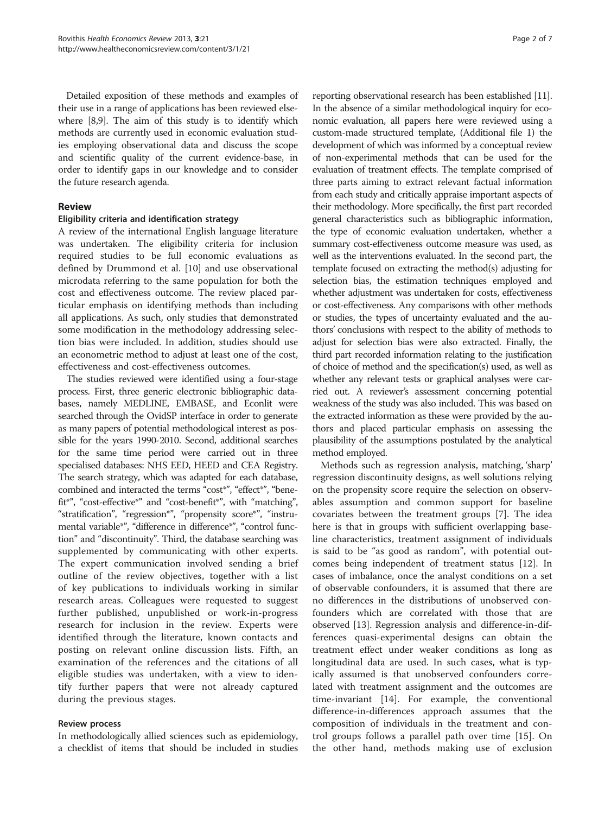Detailed exposition of these methods and examples of their use in a range of applications has been reviewed elsewhere [[8](#page-6-0),[9](#page-6-0)]. The aim of this study is to identify which methods are currently used in economic evaluation studies employing observational data and discuss the scope and scientific quality of the current evidence-base, in order to identify gaps in our knowledge and to consider the future research agenda.

# Review

## Eligibility criteria and identification strategy

A review of the international English language literature was undertaken. The eligibility criteria for inclusion required studies to be full economic evaluations as defined by Drummond et al. [\[10](#page-6-0)] and use observational microdata referring to the same population for both the cost and effectiveness outcome. The review placed particular emphasis on identifying methods than including all applications. As such, only studies that demonstrated some modification in the methodology addressing selection bias were included. In addition, studies should use an econometric method to adjust at least one of the cost, effectiveness and cost-effectiveness outcomes.

The studies reviewed were identified using a four-stage process. First, three generic electronic bibliographic databases, namely MEDLINE, EMBASE, and Econlit were searched through the OvidSP interface in order to generate as many papers of potential methodological interest as possible for the years 1990-2010. Second, additional searches for the same time period were carried out in three specialised databases: NHS EED, HEED and CEA Registry. The search strategy, which was adapted for each database, combined and interacted the terms "cost\*", "effect\*", "benefit\*", "cost-effective\*" and "cost-benefit\*", with "matching", "stratification", "regression\*", "propensity score\*", "instrumental variable\*", "difference in difference\*", "control function" and "discontinuity". Third, the database searching was supplemented by communicating with other experts. The expert communication involved sending a brief outline of the review objectives, together with a list of key publications to individuals working in similar research areas. Colleagues were requested to suggest further published, unpublished or work-in-progress research for inclusion in the review. Experts were identified through the literature, known contacts and posting on relevant online discussion lists. Fifth, an examination of the references and the citations of all eligible studies was undertaken, with a view to identify further papers that were not already captured during the previous stages.

## Review process

In methodologically allied sciences such as epidemiology, a checklist of items that should be included in studies

reporting observational research has been established [[11](#page-6-0)]. In the absence of a similar methodological inquiry for economic evaluation, all papers here were reviewed using a custom-made structured template, (Additional file [1](#page-6-0)) the development of which was informed by a conceptual review of non-experimental methods that can be used for the evaluation of treatment effects. The template comprised of three parts aiming to extract relevant factual information from each study and critically appraise important aspects of their methodology. More specifically, the first part recorded general characteristics such as bibliographic information, the type of economic evaluation undertaken, whether a summary cost-effectiveness outcome measure was used, as well as the interventions evaluated. In the second part, the template focused on extracting the method(s) adjusting for selection bias, the estimation techniques employed and whether adjustment was undertaken for costs, effectiveness or cost-effectiveness. Any comparisons with other methods or studies, the types of uncertainty evaluated and the authors' conclusions with respect to the ability of methods to adjust for selection bias were also extracted. Finally, the third part recorded information relating to the justification of choice of method and the specification(s) used, as well as whether any relevant tests or graphical analyses were carried out. A reviewer's assessment concerning potential weakness of the study was also included. This was based on the extracted information as these were provided by the authors and placed particular emphasis on assessing the plausibility of the assumptions postulated by the analytical method employed.

Methods such as regression analysis, matching, 'sharp' regression discontinuity designs, as well solutions relying on the propensity score require the selection on observables assumption and common support for baseline covariates between the treatment groups [\[7](#page-6-0)]. The idea here is that in groups with sufficient overlapping baseline characteristics, treatment assignment of individuals is said to be "as good as random", with potential outcomes being independent of treatment status [[12](#page-6-0)]. In cases of imbalance, once the analyst conditions on a set of observable confounders, it is assumed that there are no differences in the distributions of unobserved confounders which are correlated with those that are observed [[13](#page-6-0)]. Regression analysis and difference-in-differences quasi-experimental designs can obtain the treatment effect under weaker conditions as long as longitudinal data are used. In such cases, what is typically assumed is that unobserved confounders correlated with treatment assignment and the outcomes are time-invariant [\[14](#page-6-0)]. For example, the conventional difference-in-differences approach assumes that the composition of individuals in the treatment and control groups follows a parallel path over time [[15\]](#page-6-0). On the other hand, methods making use of exclusion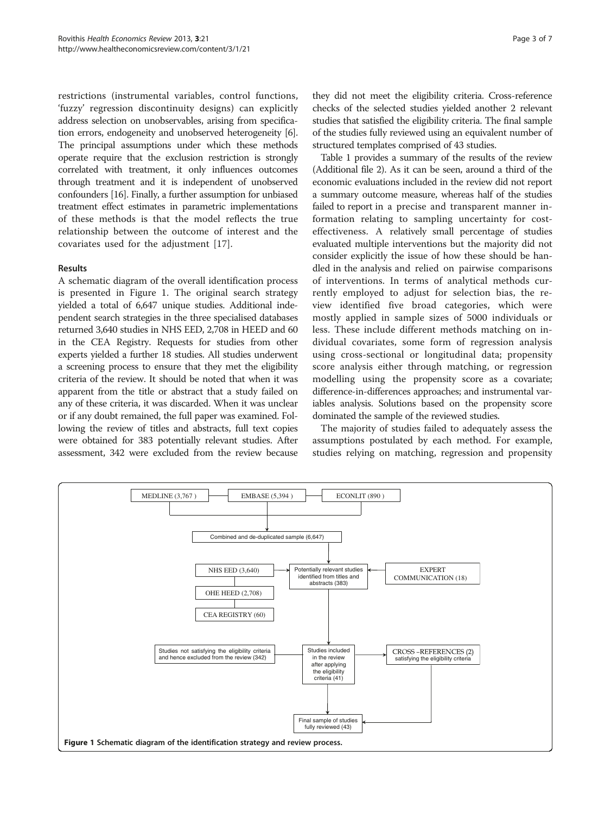restrictions (instrumental variables, control functions, 'fuzzy' regression discontinuity designs) can explicitly address selection on unobservables, arising from specification errors, endogeneity and unobserved heterogeneity [[6](#page-6-0)]. The principal assumptions under which these methods operate require that the exclusion restriction is strongly correlated with treatment, it only influences outcomes through treatment and it is independent of unobserved confounders [\[16](#page-6-0)]. Finally, a further assumption for unbiased treatment effect estimates in parametric implementations of these methods is that the model reflects the true relationship between the outcome of interest and the covariates used for the adjustment [\[17](#page-6-0)].

# Results

A schematic diagram of the overall identification process is presented in Figure 1. The original search strategy yielded a total of 6,647 unique studies. Additional independent search strategies in the three specialised databases returned 3,640 studies in NHS EED, 2,708 in HEED and 60 in the CEA Registry. Requests for studies from other experts yielded a further 18 studies. All studies underwent a screening process to ensure that they met the eligibility criteria of the review. It should be noted that when it was apparent from the title or abstract that a study failed on any of these criteria, it was discarded. When it was unclear or if any doubt remained, the full paper was examined. Following the review of titles and abstracts, full text copies were obtained for 383 potentially relevant studies. After assessment, 342 were excluded from the review because they did not meet the eligibility criteria. Cross-reference checks of the selected studies yielded another 2 relevant studies that satisfied the eligibility criteria. The final sample of the studies fully reviewed using an equivalent number of structured templates comprised of 43 studies.

Table [1](#page-3-0) provides a summary of the results of the review (Additional file [2\)](#page-6-0). As it can be seen, around a third of the economic evaluations included in the review did not report a summary outcome measure, whereas half of the studies failed to report in a precise and transparent manner information relating to sampling uncertainty for costeffectiveness. A relatively small percentage of studies evaluated multiple interventions but the majority did not consider explicitly the issue of how these should be handled in the analysis and relied on pairwise comparisons of interventions. In terms of analytical methods currently employed to adjust for selection bias, the review identified five broad categories, which were mostly applied in sample sizes of 5000 individuals or less. These include different methods matching on individual covariates, some form of regression analysis using cross-sectional or longitudinal data; propensity score analysis either through matching, or regression modelling using the propensity score as a covariate; difference-in-differences approaches; and instrumental variables analysis. Solutions based on the propensity score dominated the sample of the reviewed studies.

The majority of studies failed to adequately assess the assumptions postulated by each method. For example, studies relying on matching, regression and propensity

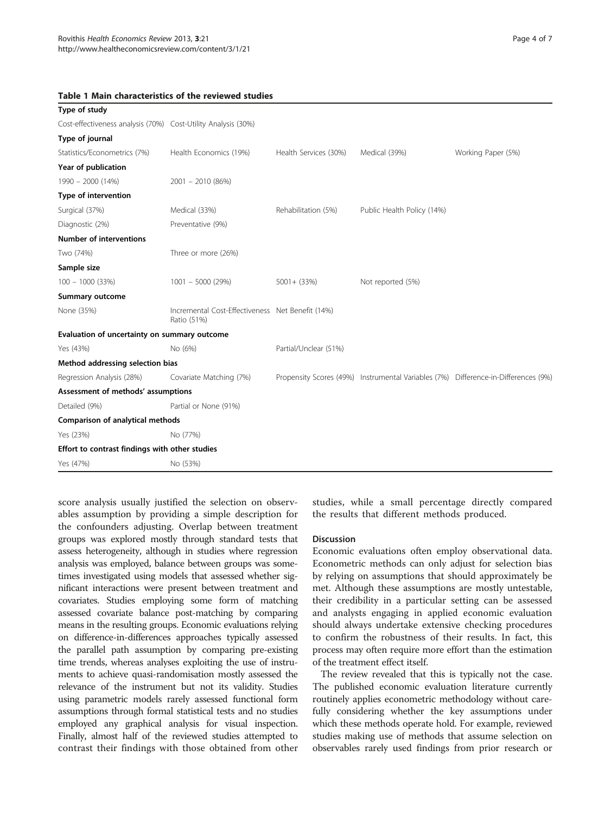#### <span id="page-3-0"></span>Table 1 Main characteristics of the reviewed studies

| Type of study                                                 |                                                                 |                       |                            |                                                                                    |
|---------------------------------------------------------------|-----------------------------------------------------------------|-----------------------|----------------------------|------------------------------------------------------------------------------------|
| Cost-effectiveness analysis (70%) Cost-Utility Analysis (30%) |                                                                 |                       |                            |                                                                                    |
| Type of journal                                               |                                                                 |                       |                            |                                                                                    |
| Statistics/Econometrics (7%)                                  | Health Economics (19%)                                          | Health Services (30%) | Medical (39%)              | Working Paper (5%)                                                                 |
| Year of publication                                           |                                                                 |                       |                            |                                                                                    |
| 1990 - 2000 (14%)                                             | 2001 - 2010 (86%)                                               |                       |                            |                                                                                    |
| Type of intervention                                          |                                                                 |                       |                            |                                                                                    |
| Surgical (37%)                                                | Medical (33%)                                                   | Rehabilitation (5%)   | Public Health Policy (14%) |                                                                                    |
| Diagnostic (2%)                                               | Preventative (9%)                                               |                       |                            |                                                                                    |
| <b>Number of interventions</b>                                |                                                                 |                       |                            |                                                                                    |
| Two (74%)                                                     | Three or more (26%)                                             |                       |                            |                                                                                    |
| Sample size                                                   |                                                                 |                       |                            |                                                                                    |
| $100 - 1000(33%)$                                             | $1001 - 5000(29%)$                                              | $5001 + (33\%)$       | Not reported (5%)          |                                                                                    |
| <b>Summary outcome</b>                                        |                                                                 |                       |                            |                                                                                    |
| None (35%)                                                    | Incremental Cost-Effectiveness Net Benefit (14%)<br>Ratio (51%) |                       |                            |                                                                                    |
| Evaluation of uncertainty on summary outcome                  |                                                                 |                       |                            |                                                                                    |
| Yes (43%)                                                     | No (6%)                                                         | Partial/Unclear (51%) |                            |                                                                                    |
| Method addressing selection bias                              |                                                                 |                       |                            |                                                                                    |
| Regression Analysis (28%)                                     | Covariate Matching (7%)                                         |                       |                            | Propensity Scores (49%) Instrumental Variables (7%) Difference-in-Differences (9%) |
| Assessment of methods' assumptions                            |                                                                 |                       |                            |                                                                                    |
| Detailed (9%)                                                 | Partial or None (91%)                                           |                       |                            |                                                                                    |
| Comparison of analytical methods                              |                                                                 |                       |                            |                                                                                    |
| Yes (23%)                                                     | No (77%)                                                        |                       |                            |                                                                                    |
| Effort to contrast findings with other studies                |                                                                 |                       |                            |                                                                                    |
| Yes (47%)                                                     | No (53%)                                                        |                       |                            |                                                                                    |

score analysis usually justified the selection on observables assumption by providing a simple description for the confounders adjusting. Overlap between treatment groups was explored mostly through standard tests that assess heterogeneity, although in studies where regression analysis was employed, balance between groups was sometimes investigated using models that assessed whether significant interactions were present between treatment and covariates. Studies employing some form of matching assessed covariate balance post-matching by comparing means in the resulting groups. Economic evaluations relying on difference-in-differences approaches typically assessed the parallel path assumption by comparing pre-existing time trends, whereas analyses exploiting the use of instruments to achieve quasi-randomisation mostly assessed the relevance of the instrument but not its validity. Studies using parametric models rarely assessed functional form assumptions through formal statistical tests and no studies employed any graphical analysis for visual inspection. Finally, almost half of the reviewed studies attempted to contrast their findings with those obtained from other

studies, while a small percentage directly compared the results that different methods produced.

## **Discussion**

Economic evaluations often employ observational data. Econometric methods can only adjust for selection bias by relying on assumptions that should approximately be met. Although these assumptions are mostly untestable, their credibility in a particular setting can be assessed and analysts engaging in applied economic evaluation should always undertake extensive checking procedures to confirm the robustness of their results. In fact, this process may often require more effort than the estimation of the treatment effect itself.

The review revealed that this is typically not the case. The published economic evaluation literature currently routinely applies econometric methodology without carefully considering whether the key assumptions under which these methods operate hold. For example, reviewed studies making use of methods that assume selection on observables rarely used findings from prior research or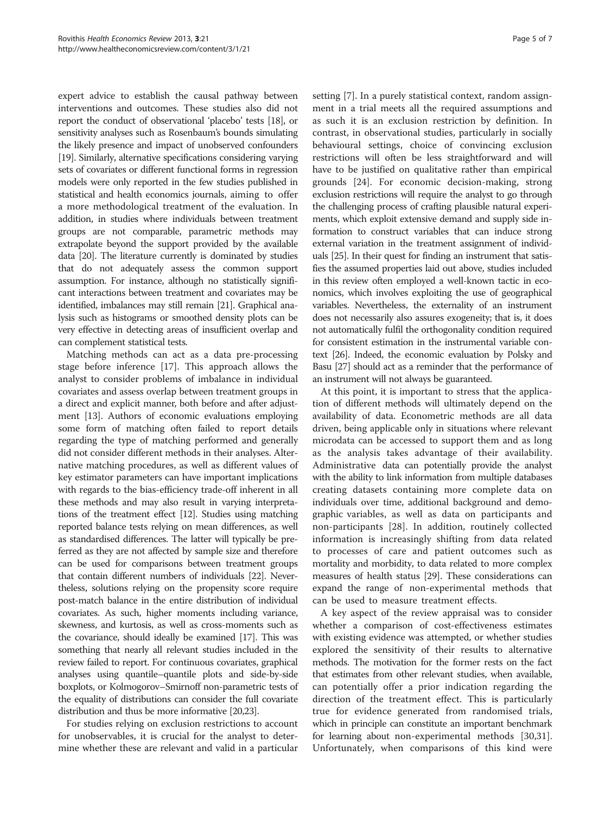expert advice to establish the causal pathway between interventions and outcomes. These studies also did not report the conduct of observational 'placebo' tests [\[18](#page-6-0)], or sensitivity analyses such as Rosenbaum's bounds simulating the likely presence and impact of unobserved confounders [[19](#page-6-0)]. Similarly, alternative specifications considering varying sets of covariates or different functional forms in regression models were only reported in the few studies published in statistical and health economics journals, aiming to offer a more methodological treatment of the evaluation. In addition, in studies where individuals between treatment groups are not comparable, parametric methods may extrapolate beyond the support provided by the available data [[20](#page-6-0)]. The literature currently is dominated by studies that do not adequately assess the common support assumption. For instance, although no statistically significant interactions between treatment and covariates may be identified, imbalances may still remain [[21](#page-6-0)]. Graphical analysis such as histograms or smoothed density plots can be very effective in detecting areas of insufficient overlap and can complement statistical tests.

Matching methods can act as a data pre-processing stage before inference [[17\]](#page-6-0). This approach allows the analyst to consider problems of imbalance in individual covariates and assess overlap between treatment groups in a direct and explicit manner, both before and after adjustment [\[13](#page-6-0)]. Authors of economic evaluations employing some form of matching often failed to report details regarding the type of matching performed and generally did not consider different methods in their analyses. Alternative matching procedures, as well as different values of key estimator parameters can have important implications with regards to the bias-efficiency trade-off inherent in all these methods and may also result in varying interpretations of the treatment effect [\[12\]](#page-6-0). Studies using matching reported balance tests relying on mean differences, as well as standardised differences. The latter will typically be preferred as they are not affected by sample size and therefore can be used for comparisons between treatment groups that contain different numbers of individuals [\[22\]](#page-6-0). Nevertheless, solutions relying on the propensity score require post-match balance in the entire distribution of individual covariates. As such, higher moments including variance, skewness, and kurtosis, as well as cross-moments such as the covariance, should ideally be examined [\[17\]](#page-6-0). This was something that nearly all relevant studies included in the review failed to report. For continuous covariates, graphical analyses using quantile–quantile plots and side-by-side boxplots, or Kolmogorov–Smirnoff non-parametric tests of the equality of distributions can consider the full covariate distribution and thus be more informative [[20,23\]](#page-6-0).

For studies relying on exclusion restrictions to account for unobservables, it is crucial for the analyst to determine whether these are relevant and valid in a particular

setting [\[7\]](#page-6-0). In a purely statistical context, random assignment in a trial meets all the required assumptions and as such it is an exclusion restriction by definition. In contrast, in observational studies, particularly in socially behavioural settings, choice of convincing exclusion restrictions will often be less straightforward and will have to be justified on qualitative rather than empirical grounds [[24\]](#page-6-0). For economic decision-making, strong exclusion restrictions will require the analyst to go through the challenging process of crafting plausible natural experiments, which exploit extensive demand and supply side information to construct variables that can induce strong external variation in the treatment assignment of individuals [[25](#page-6-0)]. In their quest for finding an instrument that satisfies the assumed properties laid out above, studies included in this review often employed a well-known tactic in economics, which involves exploiting the use of geographical variables. Nevertheless, the externality of an instrument does not necessarily also assures exogeneity; that is, it does not automatically fulfil the orthogonality condition required for consistent estimation in the instrumental variable context [[26](#page-6-0)]. Indeed, the economic evaluation by Polsky and Basu [\[27\]](#page-6-0) should act as a reminder that the performance of an instrument will not always be guaranteed.

At this point, it is important to stress that the application of different methods will ultimately depend on the availability of data. Econometric methods are all data driven, being applicable only in situations where relevant microdata can be accessed to support them and as long as the analysis takes advantage of their availability. Administrative data can potentially provide the analyst with the ability to link information from multiple databases creating datasets containing more complete data on individuals over time, additional background and demographic variables, as well as data on participants and non-participants [\[28](#page-6-0)]. In addition, routinely collected information is increasingly shifting from data related to processes of care and patient outcomes such as mortality and morbidity, to data related to more complex measures of health status [\[29\]](#page-6-0). These considerations can expand the range of non-experimental methods that can be used to measure treatment effects.

A key aspect of the review appraisal was to consider whether a comparison of cost-effectiveness estimates with existing evidence was attempted, or whether studies explored the sensitivity of their results to alternative methods. The motivation for the former rests on the fact that estimates from other relevant studies, when available, can potentially offer a prior indication regarding the direction of the treatment effect. This is particularly true for evidence generated from randomised trials, which in principle can constitute an important benchmark for learning about non-experimental methods [[30,31](#page-6-0)]. Unfortunately, when comparisons of this kind were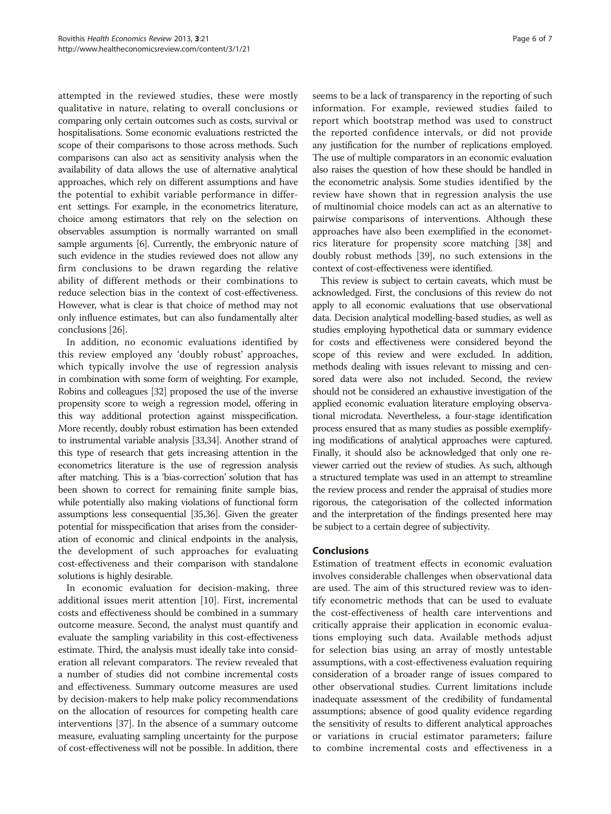attempted in the reviewed studies, these were mostly qualitative in nature, relating to overall conclusions or comparing only certain outcomes such as costs, survival or hospitalisations. Some economic evaluations restricted the scope of their comparisons to those across methods. Such comparisons can also act as sensitivity analysis when the availability of data allows the use of alternative analytical approaches, which rely on different assumptions and have the potential to exhibit variable performance in different settings. For example, in the econometrics literature, choice among estimators that rely on the selection on observables assumption is normally warranted on small sample arguments [\[6\]](#page-6-0). Currently, the embryonic nature of such evidence in the studies reviewed does not allow any firm conclusions to be drawn regarding the relative ability of different methods or their combinations to reduce selection bias in the context of cost-effectiveness. However, what is clear is that choice of method may not only influence estimates, but can also fundamentally alter conclusions [\[26\]](#page-6-0).

In addition, no economic evaluations identified by this review employed any 'doubly robust' approaches, which typically involve the use of regression analysis in combination with some form of weighting. For example, Robins and colleagues [\[32\]](#page-6-0) proposed the use of the inverse propensity score to weigh a regression model, offering in this way additional protection against misspecification. More recently, doubly robust estimation has been extended to instrumental variable analysis [\[33,34\]](#page-6-0). Another strand of this type of research that gets increasing attention in the econometrics literature is the use of regression analysis after matching. This is a 'bias-correction' solution that has been shown to correct for remaining finite sample bias, while potentially also making violations of functional form assumptions less consequential [\[35,36\]](#page-6-0). Given the greater potential for misspecification that arises from the consideration of economic and clinical endpoints in the analysis, the development of such approaches for evaluating cost-effectiveness and their comparison with standalone solutions is highly desirable.

In economic evaluation for decision-making, three additional issues merit attention [\[10](#page-6-0)]. First, incremental costs and effectiveness should be combined in a summary outcome measure. Second, the analyst must quantify and evaluate the sampling variability in this cost-effectiveness estimate. Third, the analysis must ideally take into consideration all relevant comparators. The review revealed that a number of studies did not combine incremental costs and effectiveness. Summary outcome measures are used by decision-makers to help make policy recommendations on the allocation of resources for competing health care interventions [[37](#page-6-0)]. In the absence of a summary outcome measure, evaluating sampling uncertainty for the purpose of cost-effectiveness will not be possible. In addition, there

seems to be a lack of transparency in the reporting of such information. For example, reviewed studies failed to report which bootstrap method was used to construct the reported confidence intervals, or did not provide any justification for the number of replications employed. The use of multiple comparators in an economic evaluation also raises the question of how these should be handled in the econometric analysis. Some studies identified by the review have shown that in regression analysis the use of multinomial choice models can act as an alternative to pairwise comparisons of interventions. Although these approaches have also been exemplified in the econometrics literature for propensity score matching [\[38\]](#page-6-0) and doubly robust methods [\[39\]](#page-6-0), no such extensions in the context of cost-effectiveness were identified.

This review is subject to certain caveats, which must be acknowledged. First, the conclusions of this review do not apply to all economic evaluations that use observational data. Decision analytical modelling-based studies, as well as studies employing hypothetical data or summary evidence for costs and effectiveness were considered beyond the scope of this review and were excluded. In addition, methods dealing with issues relevant to missing and censored data were also not included. Second, the review should not be considered an exhaustive investigation of the applied economic evaluation literature employing observational microdata. Nevertheless, a four-stage identification process ensured that as many studies as possible exemplifying modifications of analytical approaches were captured. Finally, it should also be acknowledged that only one reviewer carried out the review of studies. As such, although a structured template was used in an attempt to streamline the review process and render the appraisal of studies more rigorous, the categorisation of the collected information and the interpretation of the findings presented here may be subject to a certain degree of subjectivity.

# Conclusions

Estimation of treatment effects in economic evaluation involves considerable challenges when observational data are used. The aim of this structured review was to identify econometric methods that can be used to evaluate the cost-effectiveness of health care interventions and critically appraise their application in economic evaluations employing such data. Available methods adjust for selection bias using an array of mostly untestable assumptions, with a cost-effectiveness evaluation requiring consideration of a broader range of issues compared to other observational studies. Current limitations include inadequate assessment of the credibility of fundamental assumptions; absence of good quality evidence regarding the sensitivity of results to different analytical approaches or variations in crucial estimator parameters; failure to combine incremental costs and effectiveness in a